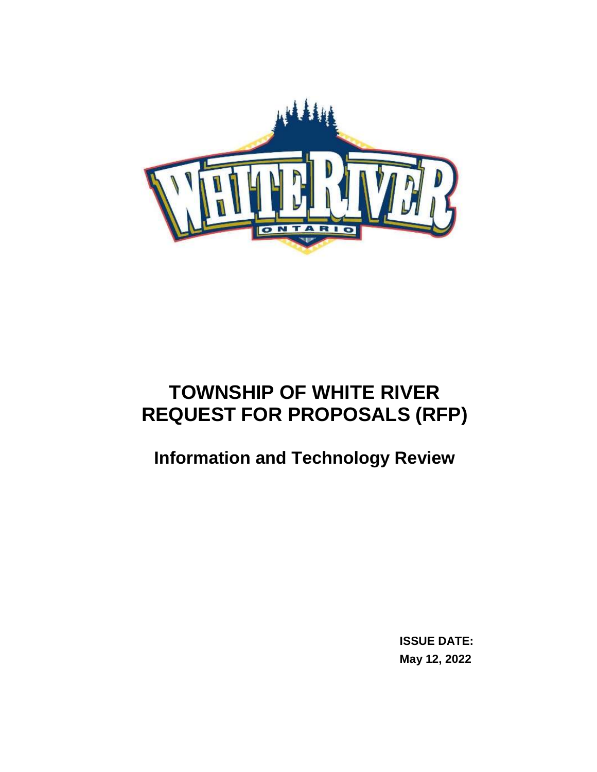

# **TOWNSHIP OF WHITE RIVER REQUEST FOR PROPOSALS (RFP)**

# <span id="page-0-1"></span><span id="page-0-0"></span>**Information and Technology Review**

**ISSUE DATE: May 12, 2022**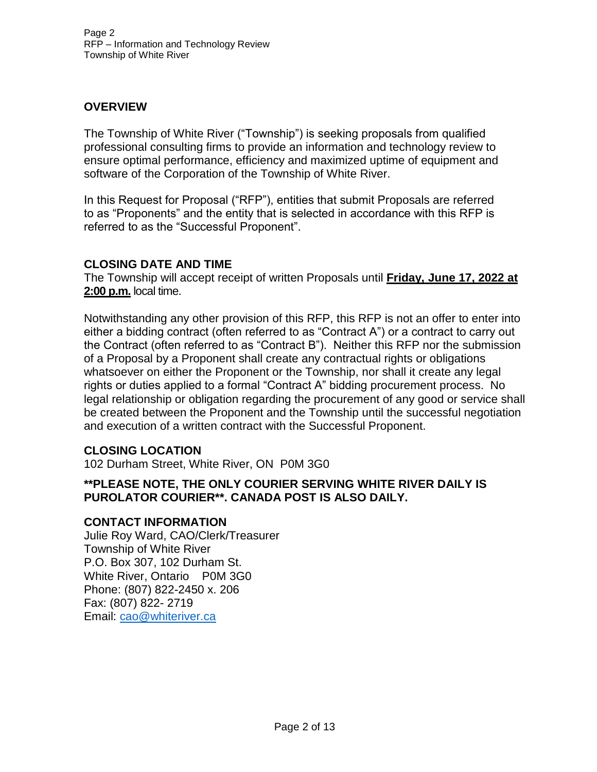#### <span id="page-1-0"></span>**OVERVIEW**

The Township of White River ("Township") is seeking proposals from qualified professional consulting firms to provide an information and technology review to ensure optimal performance, efficiency and maximized uptime of equipment and software of the Corporation of the Township of White River.

In this Request for Proposal ("RFP"), entities that submit Proposals are referred to as "Proponents" and the entity that is selected in accordance with this RFP is referred to as the "Successful Proponent".

#### <span id="page-1-1"></span>**CLOSING DATE AND TIME**

The Township will accept receipt of written Proposals until **Friday, June 17, 2022 at 2:00 p.m.** local time.

Notwithstanding any other provision of this RFP, this RFP is not an offer to enter into either a bidding contract (often referred to as "Contract A") or a contract to carry out the Contract (often referred to as "Contract B"). Neither this RFP nor the submission of a Proposal by a Proponent shall create any contractual rights or obligations whatsoever on either the Proponent or the Township, nor shall it create any legal rights or duties applied to a formal "Contract A" bidding procurement process. No legal relationship or obligation regarding the procurement of any good or service shall be created between the Proponent and the Township until the successful negotiation and execution of a written contract with the Successful Proponent.

#### <span id="page-1-2"></span>**CLOSING LOCATION**

102 Durham Street, White River, ON P0M 3G0

#### **\*\*PLEASE NOTE, THE ONLY COURIER SERVING WHITE RIVER DAILY IS PUROLATOR COURIER\*\*. CANADA POST IS ALSO DAILY.**

#### <span id="page-1-3"></span>**CONTACT INFORMATION**

Julie Roy Ward, CAO/Clerk/Treasurer Township of White River P.O. Box 307, 102 Durham St. White River, Ontario P0M 3G0 Phone: (807) 822-2450 x. 206 Fax: (807) 822- 2719 Email: [cao@whiteriver.ca](mailto:cao@whiteriver.ca)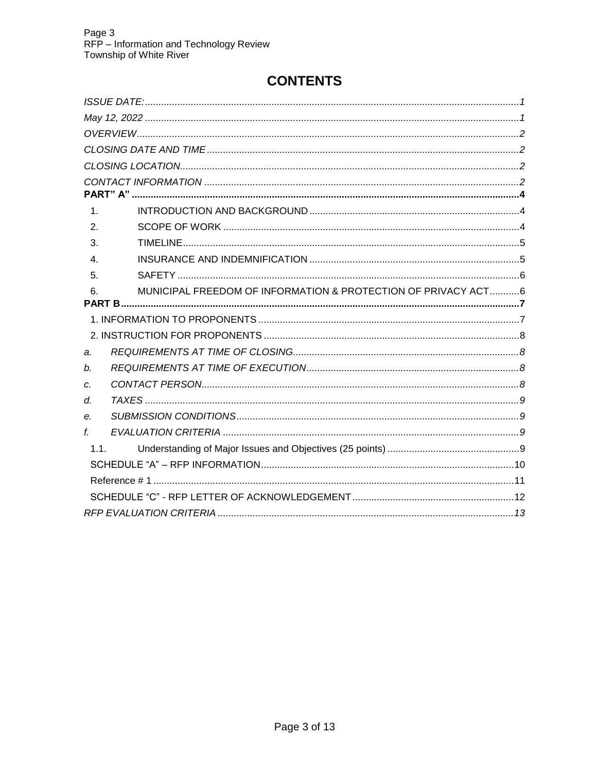# **CONTENTS**

| $\mathbf 1$ .    |                                                               |  |
|------------------|---------------------------------------------------------------|--|
| 2.               |                                                               |  |
| 3.               |                                                               |  |
| $\overline{4}$ . |                                                               |  |
| 5.               |                                                               |  |
| 6.               | MUNICIPAL FREEDOM OF INFORMATION & PROTECTION OF PRIVACY ACT6 |  |
|                  |                                                               |  |
|                  |                                                               |  |
|                  |                                                               |  |
| a.               |                                                               |  |
| b.               |                                                               |  |
| c.               |                                                               |  |
| d.               |                                                               |  |
| е.               |                                                               |  |
| f.               |                                                               |  |
| 1.1.             |                                                               |  |
|                  |                                                               |  |
|                  |                                                               |  |
|                  |                                                               |  |
|                  |                                                               |  |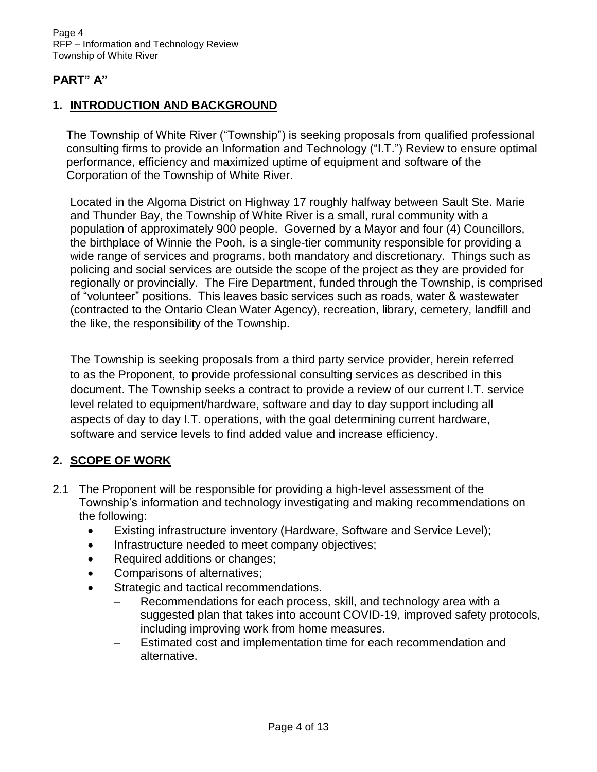#### <span id="page-3-0"></span>**PART" A"**

#### <span id="page-3-1"></span>**1. INTRODUCTION AND BACKGROUND**

The Township of White River ("Township") is seeking proposals from qualified professional consulting firms to provide an Information and Technology ("I.T.") Review to ensure optimal performance, efficiency and maximized uptime of equipment and software of the Corporation of the Township of White River.

Located in the Algoma District on Highway 17 roughly halfway between Sault Ste. Marie and Thunder Bay, the Township of White River is a small, rural community with a population of approximately 900 people. Governed by a Mayor and four (4) Councillors, the birthplace of Winnie the Pooh, is a single-tier community responsible for providing a wide range of services and programs, both mandatory and discretionary. Things such as policing and social services are outside the scope of the project as they are provided for regionally or provincially. The Fire Department, funded through the Township, is comprised of "volunteer" positions. This leaves basic services such as roads, water & wastewater (contracted to the Ontario Clean Water Agency), recreation, library, cemetery, landfill and the like, the responsibility of the Township.

The Township is seeking proposals from a third party service provider, herein referred to as the Proponent, to provide professional consulting services as described in this document. The Township seeks a contract to provide a review of our current I.T. service level related to equipment/hardware, software and day to day support including all aspects of day to day I.T. operations, with the goal determining current hardware, software and service levels to find added value and increase efficiency.

#### <span id="page-3-2"></span>**2. SCOPE OF WORK**

- 2.1 The Proponent will be responsible for providing a high-level assessment of the Township's information and technology investigating and making recommendations on the following:
	- Existing infrastructure inventory (Hardware, Software and Service Level);
	- Infrastructure needed to meet company objectives;
	- Required additions or changes;
	- Comparisons of alternatives;
	- Strategic and tactical recommendations.
		- Recommendations for each process, skill, and technology area with a suggested plan that takes into account COVID-19, improved safety protocols, including improving work from home measures.
		- Estimated cost and implementation time for each recommendation and alternative.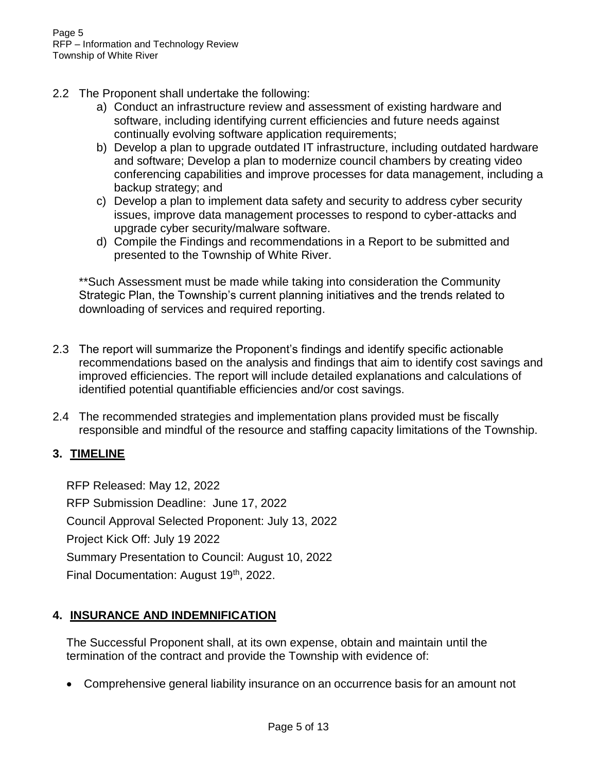- 2.2 The Proponent shall undertake the following:
	- a) Conduct an infrastructure review and assessment of existing hardware and software, including identifying current efficiencies and future needs against continually evolving software application requirements;
	- b) Develop a plan to upgrade outdated IT infrastructure, including outdated hardware and software; Develop a plan to modernize council chambers by creating video conferencing capabilities and improve processes for data management, including a backup strategy; and
	- c) Develop a plan to implement data safety and security to address cyber security issues, improve data management processes to respond to cyber-attacks and upgrade cyber security/malware software.
	- d) Compile the Findings and recommendations in a Report to be submitted and presented to the Township of White River.

\*\*Such Assessment must be made while taking into consideration the Community Strategic Plan, the Township's current planning initiatives and the trends related to downloading of services and required reporting.

- 2.3 The report will summarize the Proponent's findings and identify specific actionable recommendations based on the analysis and findings that aim to identify cost savings and improved efficiencies. The report will include detailed explanations and calculations of identified potential quantifiable efficiencies and/or cost savings.
- 2.4 The recommended strategies and implementation plans provided must be fiscally responsible and mindful of the resource and staffing capacity limitations of the Township.

#### <span id="page-4-0"></span>**3. TIMELINE**

RFP Released: May 12, 2022 RFP Submission Deadline: June 17, 2022 Council Approval Selected Proponent: July 13, 2022 Project Kick Off: July 19 2022 Summary Presentation to Council: August 10, 2022 Final Documentation: August 19<sup>th</sup>, 2022.

#### <span id="page-4-1"></span>**4. INSURANCE AND INDEMNIFICATION**

The Successful Proponent shall, at its own expense, obtain and maintain until the termination of the contract and provide the Township with evidence of:

Comprehensive general liability insurance on an occurrence basis for an amount not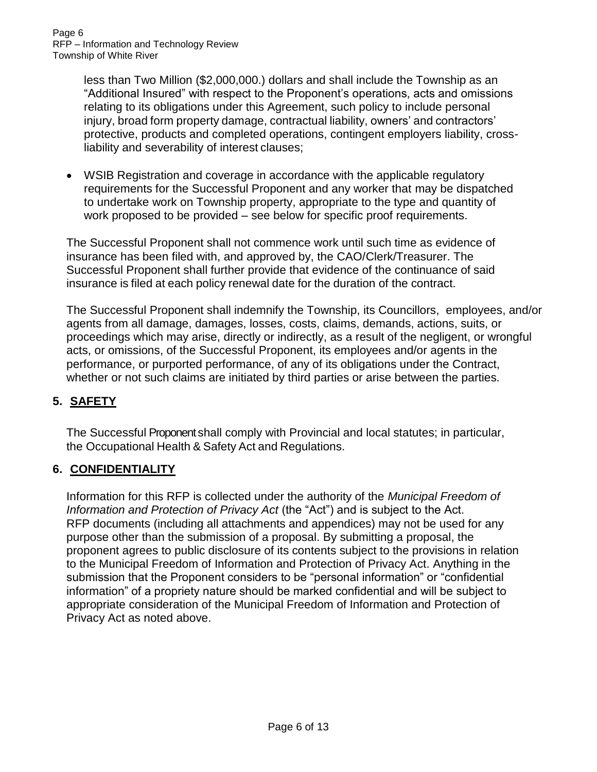less than Two Million (\$2,000,000.) dollars and shall include the Township as an "Additional Insured" with respect to the Proponent's operations, acts and omissions relating to its obligations under this Agreement, such policy to include personal injury, broad form property damage, contractual liability, owners' and contractors' protective, products and completed operations, contingent employers liability, crossliability and severability of interest clauses;

 WSIB Registration and coverage in accordance with the applicable regulatory requirements for the Successful Proponent and any worker that may be dispatched to undertake work on Township property, appropriate to the type and quantity of work proposed to be provided – see below for specific proof requirements.

The Successful Proponent shall not commence work until such time as evidence of insurance has been filed with, and approved by, the CAO/Clerk/Treasurer. The Successful Proponent shall further provide that evidence of the continuance of said insurance is filed at each policy renewal date for the duration of the contract.

The Successful Proponent shall indemnify the Township, its Councillors, employees, and/or agents from all damage, damages, losses, costs, claims, demands, actions, suits, or proceedings which may arise, directly or indirectly, as a result of the negligent, or wrongful acts, or omissions, of the Successful Proponent, its employees and/or agents in the performance, or purported performance, of any of its obligations under the Contract, whether or not such claims are initiated by third parties or arise between the parties.

# <span id="page-5-0"></span>**5. SAFETY**

The Successful Proponent shall comply with Provincial and local statutes; in particular, the Occupational Health & Safety Act and Regulations.

# <span id="page-5-1"></span>**6. CONFIDENTIALITY**

Information for this RFP is collected under the authority of the *Municipal Freedom of Information and Protection of Privacy Act* (the "Act") and is subject to the Act. RFP documents (including all attachments and appendices) may not be used for any purpose other than the submission of a proposal. By submitting a proposal, the proponent agrees to public disclosure of its contents subject to the provisions in relation to the Municipal Freedom of Information and Protection of Privacy Act. Anything in the submission that the Proponent considers to be "personal information" or "confidential information" of a propriety nature should be marked confidential and will be subject to appropriate consideration of the Municipal Freedom of Information and Protection of Privacy Act as noted above.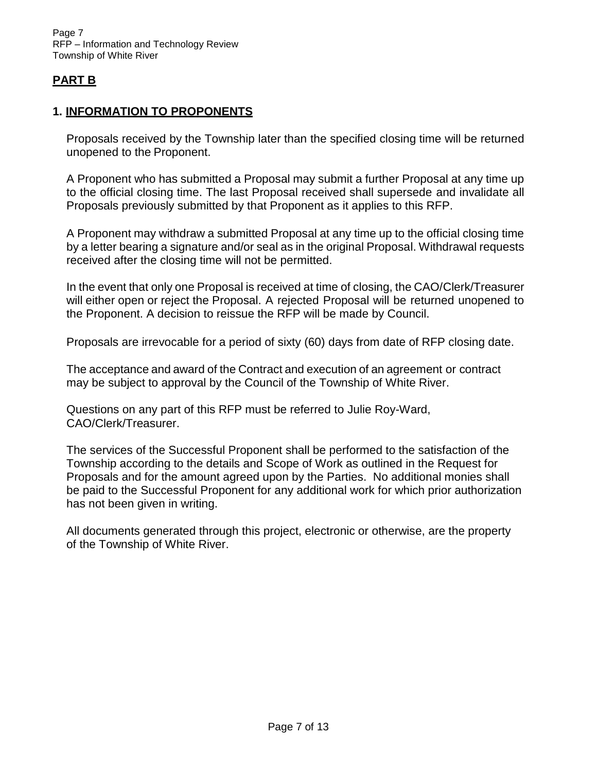# <span id="page-6-0"></span>**PART B**

#### <span id="page-6-1"></span>**1. INFORMATION TO PROPONENTS**

Proposals received by the Township later than the specified closing time will be returned unopened to the Proponent.

A Proponent who has submitted a Proposal may submit a further Proposal at any time up to the official closing time. The last Proposal received shall supersede and invalidate all Proposals previously submitted by that Proponent as it applies to this RFP.

A Proponent may withdraw a submitted Proposal at any time up to the official closing time by a letter bearing a signature and/or seal as in the original Proposal. Withdrawal requests received after the closing time will not be permitted.

In the event that only one Proposal is received at time of closing, the CAO/Clerk/Treasurer will either open or reject the Proposal. A rejected Proposal will be returned unopened to the Proponent. A decision to reissue the RFP will be made by Council.

Proposals are irrevocable for a period of sixty (60) days from date of RFP closing date.

The acceptance and award of the Contract and execution of an agreement or contract may be subject to approval by the Council of the Township of White River.

Questions on any part of this RFP must be referred to Julie Roy-Ward, CAO/Clerk/Treasurer.

The services of the Successful Proponent shall be performed to the satisfaction of the Township according to the details and Scope of Work as outlined in the Request for Proposals and for the amount agreed upon by the Parties. No additional monies shall be paid to the Successful Proponent for any additional work for which prior authorization has not been given in writing.

All documents generated through this project, electronic or otherwise, are the property of the Township of White River.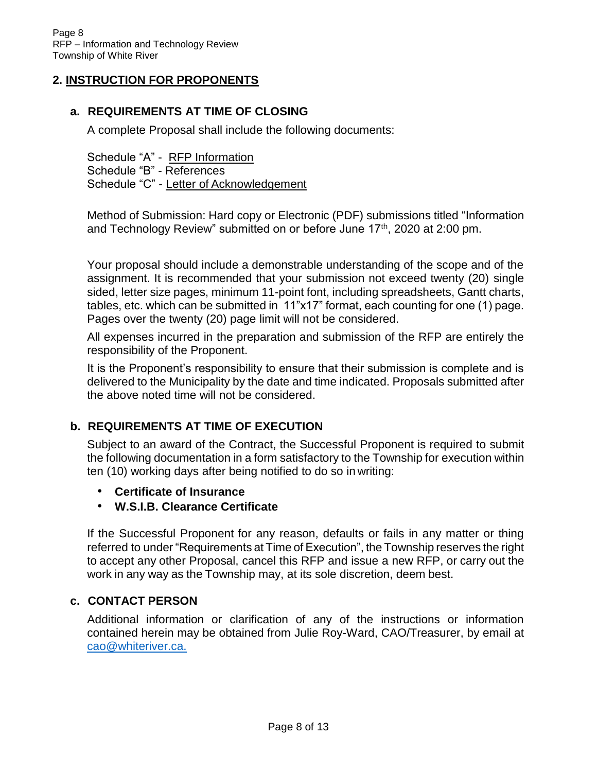#### <span id="page-7-0"></span>**2. INSTRUCTION FOR PROPONENTS**

#### <span id="page-7-1"></span>**a. REQUIREMENTS AT TIME OF CLOSING**

A complete Proposal shall include the following documents:

Schedule "A" - RFP Information Schedule "B" - References Schedule "C" - Letter of Acknowledgement

Method of Submission: Hard copy or Electronic (PDF) submissions titled "Information and Technology Review" submitted on or before June  $17<sup>th</sup>$ , 2020 at 2:00 pm.

Your proposal should include a demonstrable understanding of the scope and of the assignment. It is recommended that your submission not exceed twenty (20) single sided, letter size pages, minimum 11-point font, including spreadsheets, Gantt charts, tables, etc. which can be submitted in 11"x17" format, each counting for one (1) page. Pages over the twenty (20) page limit will not be considered.

All expenses incurred in the preparation and submission of the RFP are entirely the responsibility of the Proponent.

It is the Proponent's responsibility to ensure that their submission is complete and is delivered to the Municipality by the date and time indicated. Proposals submitted after the above noted time will not be considered.

#### <span id="page-7-2"></span>**b. REQUIREMENTS AT TIME OF EXECUTION**

Subject to an award of the Contract, the Successful Proponent is required to submit the following documentation in a form satisfactory to the Township for execution within ten (10) working days after being notified to do so in writing:

- **Certificate of Insurance**
- **W.S.I.B. Clearance Certificate**

If the Successful Proponent for any reason, defaults or fails in any matter or thing referred to under "Requirements at Time of Execution", the Township reserves the right to accept any other Proposal, cancel this RFP and issue a new RFP, or carry out the work in any way as the Township may, at its sole discretion, deem best.

#### <span id="page-7-3"></span>**c. CONTACT PERSON**

Additional information or clarification of any of the instructions or information contained herein may be obtained from Julie Roy-Ward, CAO/Treasurer, by email at [cao@whiteriver.ca.](mailto:cao@whiteriver.ca.)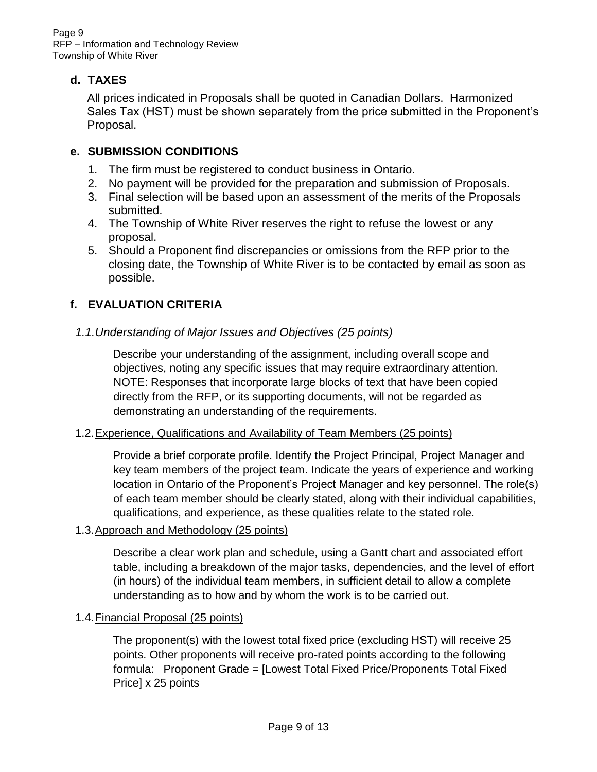#### <span id="page-8-0"></span>**d. TAXES**

All prices indicated in Proposals shall be quoted in Canadian Dollars. Harmonized Sales Tax (HST) must be shown separately from the price submitted in the Proponent's Proposal.

## <span id="page-8-1"></span>**e. SUBMISSION CONDITIONS**

- 1. The firm must be registered to conduct business in Ontario.
- 2. No payment will be provided for the preparation and submission of Proposals.
- 3. Final selection will be based upon an assessment of the merits of the Proposals submitted.
- 4. The Township of White River reserves the right to refuse the lowest or any proposal.
- 5. Should a Proponent find discrepancies or omissions from the RFP prior to the closing date, the Township of White River is to be contacted by email as soon as possible.

## <span id="page-8-3"></span><span id="page-8-2"></span>**f. EVALUATION CRITERIA**

#### *1.1.Understanding of Major Issues and Objectives (25 points)*

Describe your understanding of the assignment, including overall scope and objectives, noting any specific issues that may require extraordinary attention. NOTE: Responses that incorporate large blocks of text that have been copied directly from the RFP, or its supporting documents, will not be regarded as demonstrating an understanding of the requirements.

#### 1.2.Experience, Qualifications and Availability of Team Members (25 points)

Provide a brief corporate profile. Identify the Project Principal, Project Manager and key team members of the project team. Indicate the years of experience and working location in Ontario of the Proponent's Project Manager and key personnel. The role(s) of each team member should be clearly stated, along with their individual capabilities, qualifications, and experience, as these qualities relate to the stated role.

#### 1.3.Approach and Methodology (25 points)

Describe a clear work plan and schedule, using a Gantt chart and associated effort table, including a breakdown of the major tasks, dependencies, and the level of effort (in hours) of the individual team members, in sufficient detail to allow a complete understanding as to how and by whom the work is to be carried out.

#### 1.4.Financial Proposal (25 points)

The proponent(s) with the lowest total fixed price (excluding HST) will receive 25 points. Other proponents will receive pro-rated points according to the following formula: Proponent Grade = [Lowest Total Fixed Price/Proponents Total Fixed Price] x 25 points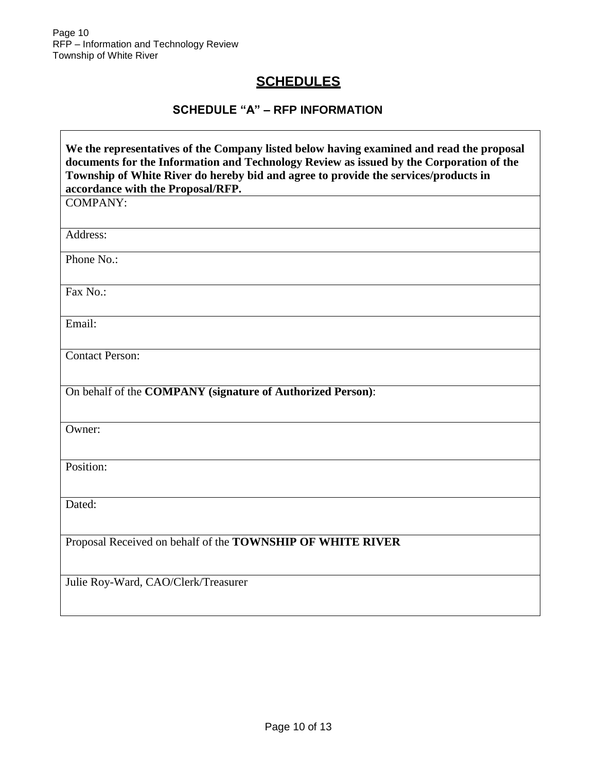<span id="page-9-0"></span> $\lceil$ 

# **SCHEDULES**

# **SCHEDULE "A" – RFP INFORMATION**

| We the representatives of the Company listed below having examined and read the proposal<br>documents for the Information and Technology Review as issued by the Corporation of the<br>Township of White River do hereby bid and agree to provide the services/products in<br>accordance with the Proposal/RFP. |  |  |
|-----------------------------------------------------------------------------------------------------------------------------------------------------------------------------------------------------------------------------------------------------------------------------------------------------------------|--|--|
| <b>COMPANY:</b>                                                                                                                                                                                                                                                                                                 |  |  |
| Address:                                                                                                                                                                                                                                                                                                        |  |  |
| Phone No.:                                                                                                                                                                                                                                                                                                      |  |  |
| Fax No.:                                                                                                                                                                                                                                                                                                        |  |  |
| Email:                                                                                                                                                                                                                                                                                                          |  |  |
| <b>Contact Person:</b>                                                                                                                                                                                                                                                                                          |  |  |
| On behalf of the COMPANY (signature of Authorized Person):                                                                                                                                                                                                                                                      |  |  |
| Owner:                                                                                                                                                                                                                                                                                                          |  |  |
| Position:                                                                                                                                                                                                                                                                                                       |  |  |
| Dated:                                                                                                                                                                                                                                                                                                          |  |  |
| Proposal Received on behalf of the TOWNSHIP OF WHITE RIVER                                                                                                                                                                                                                                                      |  |  |
| Julie Roy-Ward, CAO/Clerk/Treasurer                                                                                                                                                                                                                                                                             |  |  |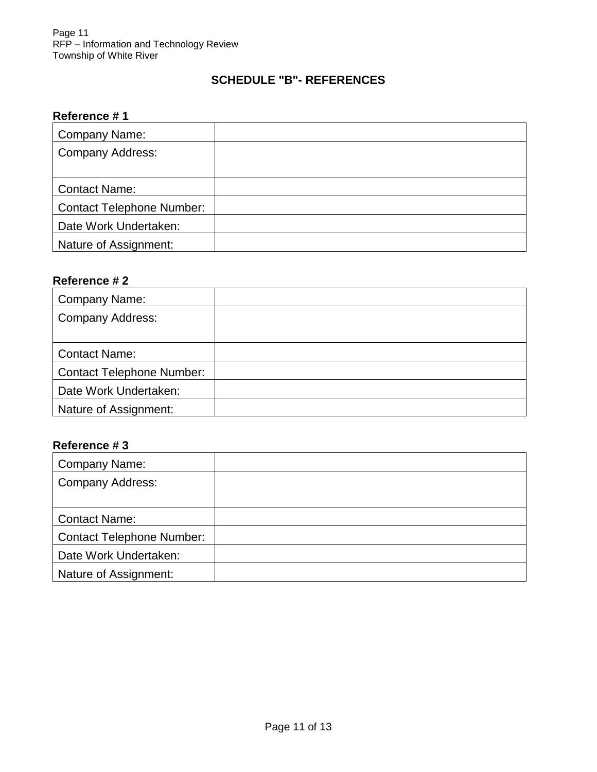## **SCHEDULE "B"- REFERENCES**

#### <span id="page-10-0"></span>**Reference # 1**

| Company Name:                    |  |
|----------------------------------|--|
| Company Address:                 |  |
|                                  |  |
| <b>Contact Name:</b>             |  |
| <b>Contact Telephone Number:</b> |  |
| Date Work Undertaken:            |  |
| Nature of Assignment:            |  |

#### **Reference # 2**

| <b>Company Name:</b>             |  |
|----------------------------------|--|
| <b>Company Address:</b>          |  |
|                                  |  |
| <b>Contact Name:</b>             |  |
| <b>Contact Telephone Number:</b> |  |
| Date Work Undertaken:            |  |
| Nature of Assignment:            |  |

#### **Reference # 3**

| Company Name:                    |  |
|----------------------------------|--|
| <b>Company Address:</b>          |  |
|                                  |  |
| <b>Contact Name:</b>             |  |
| <b>Contact Telephone Number:</b> |  |
| Date Work Undertaken:            |  |
| Nature of Assignment:            |  |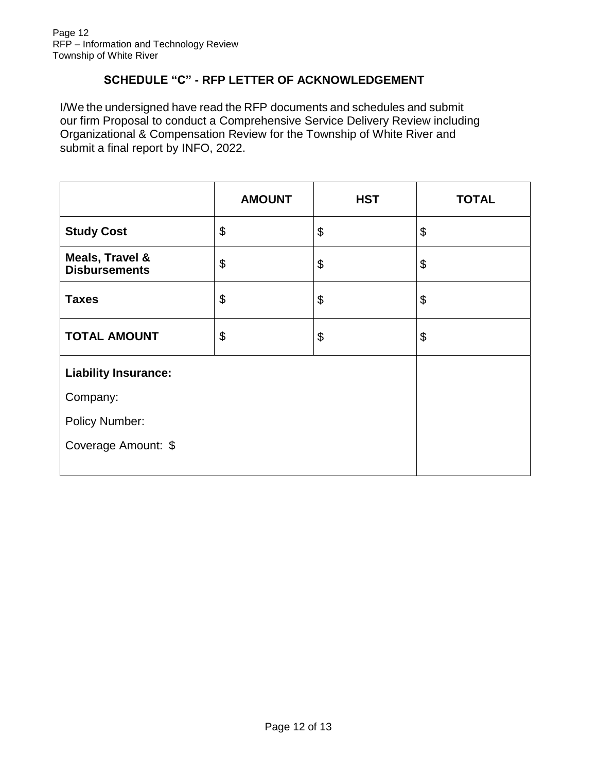#### **SCHEDULE "C" - RFP LETTER OF ACKNOWLEDGEMENT**

<span id="page-11-0"></span>I/We the undersigned have read the RFP documents and schedules and submit our firm Proposal to conduct a Comprehensive Service Delivery Review including Organizational & Compensation Review for the Township of White River and submit a final report by INFO, 2022.

|                                         | <b>AMOUNT</b>             | <b>HST</b> | <b>TOTAL</b> |
|-----------------------------------------|---------------------------|------------|--------------|
| <b>Study Cost</b>                       | \$                        | \$         | \$           |
| Meals, Travel &<br><b>Disbursements</b> | $\boldsymbol{\theta}$     | \$         | \$           |
| <b>Taxes</b>                            | $\boldsymbol{\mathsf{S}}$ | \$         | \$           |
| <b>TOTAL AMOUNT</b>                     | $\boldsymbol{\theta}$     | \$         | \$           |
| <b>Liability Insurance:</b>             |                           |            |              |
| Company:                                |                           |            |              |
| <b>Policy Number:</b>                   |                           |            |              |
| Coverage Amount: \$                     |                           |            |              |
|                                         |                           |            |              |